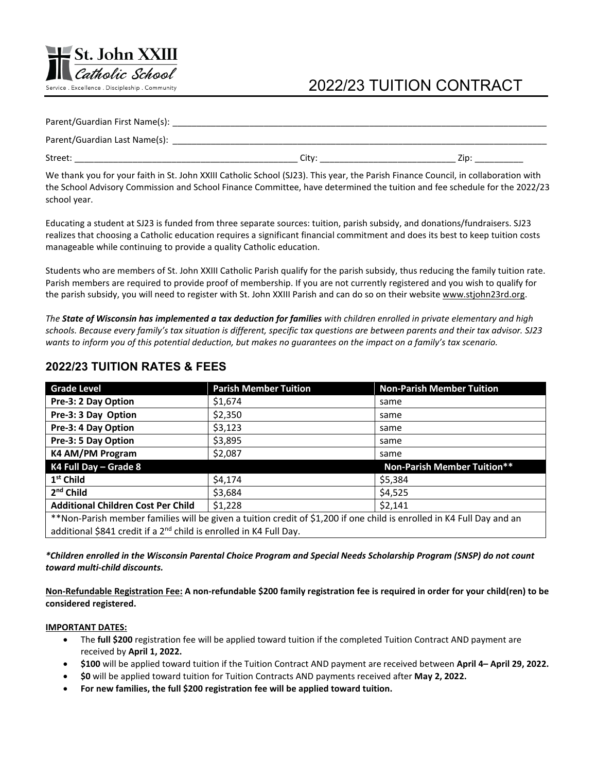# 2022/23 TUITION CONTRACT

| Parent/Guardian First Name(s): |       |     |
|--------------------------------|-------|-----|
| Parent/Guardian Last Name(s):  |       |     |
| Street:                        | City: | 7in |
|                                |       |     |

We thank you for your faith in St. John XXIII Catholic School (SJ23). This year, the Parish Finance Council, in collaboration with the School Advisory Commission and School Finance Committee, have determined the tuition and fee schedule for the 2022/23 school year.

Educating a student at SJ23 is funded from three separate sources: tuition, parish subsidy, and donations/fundraisers. SJ23 realizes that choosing a Catholic education requires a significant financial commitment and does its best to keep tuition costs manageable while continuing to provide a quality Catholic education.

Students who are members of St. John XXIII Catholic Parish qualify for the parish subsidy, thus reducing the family tuition rate. Parish members are required to provide proof of membership. If you are not currently registered and you wish to qualify for the parish subsidy, you will need to register with St. John XXIII Parish and can do so on their website www.stjohn23rd.org.

*The State of Wisconsin has implemented a tax deduction for families with children enrolled in private elementary and high schools. Because every family's tax situation is different, specific tax questions are between parents and their tax advisor. SJ23 wants to inform you of this potential deduction, but makes no guarantees on the impact on a family's tax scenario.*

| <b>Grade Level</b>                                                                                                    | <b>Parish Member Tuition</b> | <b>Non-Parish Member Tuition</b>   |  |  |
|-----------------------------------------------------------------------------------------------------------------------|------------------------------|------------------------------------|--|--|
| Pre-3: 2 Day Option                                                                                                   | \$1,674                      | same                               |  |  |
| Pre-3: 3 Day Option                                                                                                   | \$2,350                      | same                               |  |  |
| Pre-3: 4 Day Option                                                                                                   | \$3,123                      | same                               |  |  |
| Pre-3: 5 Day Option                                                                                                   | \$3,895                      | same                               |  |  |
| K4 AM/PM Program                                                                                                      | \$2,087                      | same                               |  |  |
| K4 Full Day - Grade 8                                                                                                 |                              | <b>Non-Parish Member Tuition**</b> |  |  |
| 1 <sup>st</sup> Child                                                                                                 | \$4,174                      | \$5,384                            |  |  |
| $2nd$ Child                                                                                                           | \$3,684                      | \$4,525                            |  |  |
| <b>Additional Children Cost Per Child</b>                                                                             | \$1,228                      | \$2,141                            |  |  |
| **Non-Parish member families will be given a tuition credit of \$1,200 if one child is enrolled in K4 Full Day and an |                              |                                    |  |  |
| additional \$841 credit if a 2 <sup>nd</sup> child is enrolled in K4 Full Day.                                        |                              |                                    |  |  |

## **2022/23 TUITION RATES & FEES**

**St. John XXIII** 

Catholic School

Service . Excellence . Discipleship . Community

*\*Children enrolled in the Wisconsin Parental Choice Program and Special Needs Scholarship Program (SNSP) do not count toward multi-child discounts.*

**Non-Refundable Registration Fee: A non-refundable \$200 family registration fee is required in order for your child(ren) to be considered registered.**

#### **IMPORTANT DATES:**

- The **full \$200** registration fee will be applied toward tuition if the completed Tuition Contract AND payment are received by **April 1, 2022.**
- **\$100** will be applied toward tuition if the Tuition Contract AND payment are received between **April 4– April 29, 2022.**
- **\$0** will be applied toward tuition for Tuition Contracts AND payments received after **May 2, 2022.**
- **For new families, the full \$200 registration fee will be applied toward tuition.**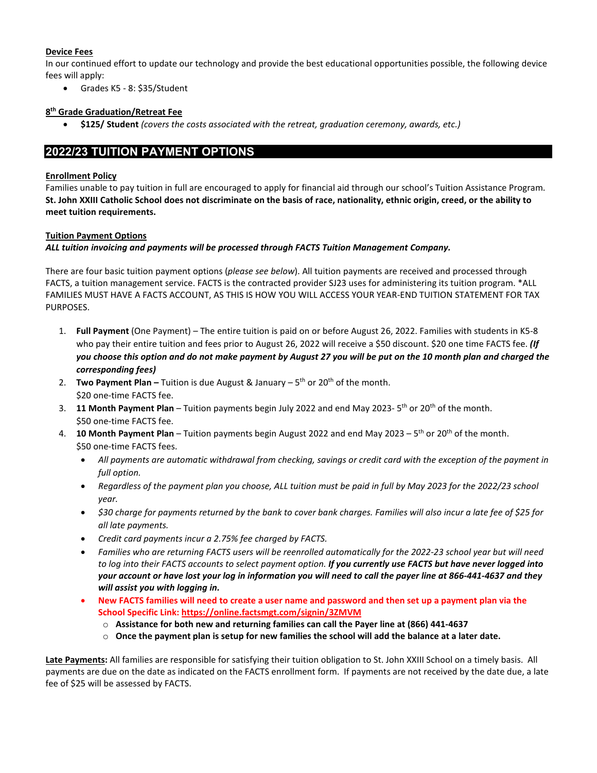#### **Device Fees**

In our continued effort to update our technology and provide the best educational opportunities possible, the following device fees will apply:

• Grades K5 - 8: \$35/Student

#### **8th Grade Graduation/Retreat Fee**

• **\$125/ Student** *(covers the costs associated with the retreat, graduation ceremony, awards, etc.)*

## **2022/23 TUITION PAYMENT OPTIONS**

#### **Enrollment Policy**

Families unable to pay tuition in full are encouraged to apply for financial aid through our school's Tuition Assistance Program. **St. John XXIII Catholic School does not discriminate on the basis of race, nationality, ethnic origin, creed, or the ability to meet tuition requirements.**

#### **Tuition Payment Options**

*ALL tuition invoicing and payments will be processed through FACTS Tuition Management Company.*

There are four basic tuition payment options (*please see below*). All tuition payments are received and processed through FACTS, a tuition management service. FACTS is the contracted provider SJ23 uses for administering its tuition program. \*ALL FAMILIES MUST HAVE A FACTS ACCOUNT, AS THIS IS HOW YOU WILL ACCESS YOUR YEAR-END TUITION STATEMENT FOR TAX PURPOSES.

- 1. **Full Payment** (One Payment) The entire tuition is paid on or before August 26, 2022. Families with students in K5-8 who pay their entire tuition and fees prior to August 26, 2022 will receive a \$50 discount. \$20 one time FACTS fee. *(If you choose this option and do not make payment by August 27 you will be put on the 10 month plan and charged the corresponding fees)*
- 2. **Two Payment Plan –** Tuition is due August & January 5th or 20th of the month. \$20 one-time FACTS fee.
- 3. **11 Month Payment Plan** Tuition payments begin July 2022 and end May 2023- 5th or 20th of the month. \$50 one-time FACTS fee.
- 4. **10 Month Payment Plan** Tuition payments begin August 2022 and end May 2023 5th or 20th of the month. \$50 one-time FACTS fees.
	- *All payments are automatic withdrawal from checking, savings or credit card with the exception of the payment in full option.*
	- *Regardless of the payment plan you choose, ALL tuition must be paid in full by May 2023 for the 2022/23 school year.*
	- *\$30 charge for payments returned by the bank to cover bank charges. Families will also incur a late fee of \$25 for all late payments.*
	- *Credit card payments incur a 2.75% fee charged by FACTS.*
	- *Families who are returning FACTS users will be reenrolled automatically for the 2022-23 school year but will need to log into their FACTS accounts to select payment option. If you currently use FACTS but have never logged into your account or have lost your log in information you will need to call the payer line at 866-441-4637 and they will assist you with logging in.*
	- **New FACTS families will need to create a user name and password and then set up a payment plan via the School Specific Link: <https://online.factsmgt.com/signin/3ZMVM>**
		- o **Assistance for both new and returning families can call the Payer line at (866) 441-4637**
		- o **Once the payment plan is setup for new families the school will add the balance at a later date.**

**Late Payments:** All families are responsible for satisfying their tuition obligation to St. John XXIII School on a timely basis. All payments are due on the date as indicated on the FACTS enrollment form. If payments are not received by the date due, a late fee of \$25 will be assessed by FACTS.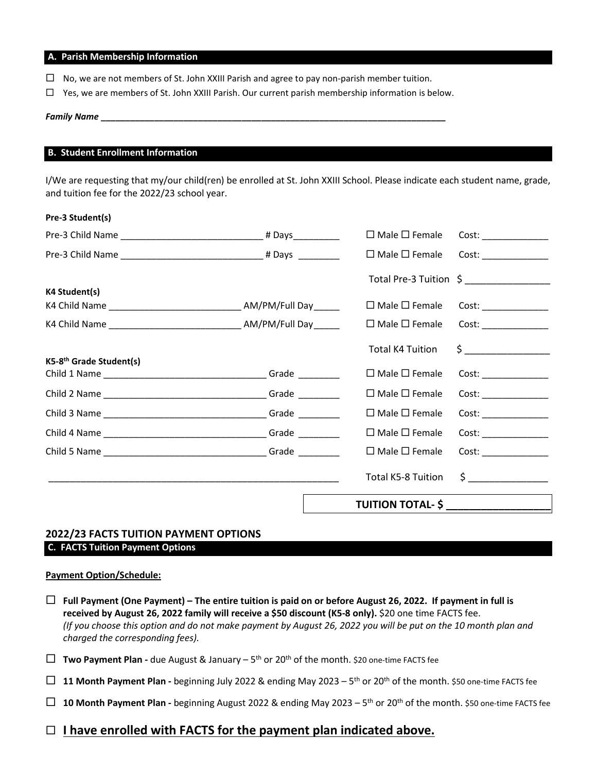#### **A. Parish Membership Information**

- $\Box$  No, we are not members of St. John XXIII Parish and agree to pay non-parish member tuition.
- $\Box$  Yes, we are members of St. John XXIII Parish. Our current parish membership information is below.

#### *Family Name* **\_\_\_\_\_\_\_\_\_\_\_\_\_\_\_\_\_\_\_\_\_\_\_\_\_\_\_\_\_\_\_\_\_\_\_\_\_\_\_\_\_\_\_\_\_\_\_\_\_\_\_\_\_\_\_\_\_\_\_\_\_\_\_\_\_\_\_\_\_\_\_**

#### **B. Student Enrollment Information**

I/We are requesting that my/our child(ren) be enrolled at St. John XXIII School. Please indicate each student name, grade, and tuition fee for the 2022/23 school year.

|                                     |                                                                         | TUITION TOTAL- \$ __________________ |                         |
|-------------------------------------|-------------------------------------------------------------------------|--------------------------------------|-------------------------|
|                                     |                                                                         | <b>Total K5-8 Tuition</b>            | $\frac{1}{2}$           |
|                                     |                                                                         | $\Box$ Male $\Box$ Female            | Cost: ________________  |
|                                     |                                                                         | $\Box$ Male $\Box$ Female            | Cost:                   |
|                                     |                                                                         | $\Box$ Male $\Box$ Female            | Cost: ________________  |
|                                     |                                                                         | $\Box$ Male $\Box$ Female            | Cost:                   |
| K5-8 <sup>th</sup> Grade Student(s) |                                                                         | $\Box$ Male $\Box$ Female            | Cost:                   |
|                                     |                                                                         | <b>Total K4 Tuition</b>              | $\zeta$ $\qquad \qquad$ |
|                                     | K4 Child Name ___________________________________ AM/PM/Full Day ______ | $\Box$ Male $\Box$ Female            |                         |
|                                     |                                                                         | $\Box$ Male $\Box$ Female            | Cost:                   |
| K4 Student(s)                       |                                                                         |                                      |                         |
|                                     |                                                                         | $\Box$ Male $\Box$ Female            | Cost:                   |
|                                     |                                                                         | $\Box$ Male $\Box$ Female            | Cost:                   |
| Pre-3 Student(s)                    |                                                                         |                                      |                         |

### **2022/23 FACTS TUITION PAYMENT OPTIONS C. FACTS Tuition Payment Options**

#### **Payment Option/Schedule:**

- **Full Payment (One Payment) – The entire tuition is paid on or before August 26, 2022. If payment in full is received by August 26, 2022 family will receive a \$50 discount (K5-8 only).** \$20 one time FACTS fee. *(If you choose this option and do not make payment by August 26, 2022 you will be put on the 10 month plan and charged the corresponding fees).*
- **Two Payment Plan -** due August & January 5th or 20th of the month. \$20 one-time FACTS fee
- **11 Month Payment Plan -** beginning July 2022 & ending May 2023  $5<sup>th</sup>$  or 20<sup>th</sup> of the month. \$50 one-time FACTS fee
- **10 Month Payment Plan -** beginning August 2022 & ending May 2023 5th or 20th of the month. \$50 one-time FACTS fee
- **I have enrolled with FACTS for the payment plan indicated above.**